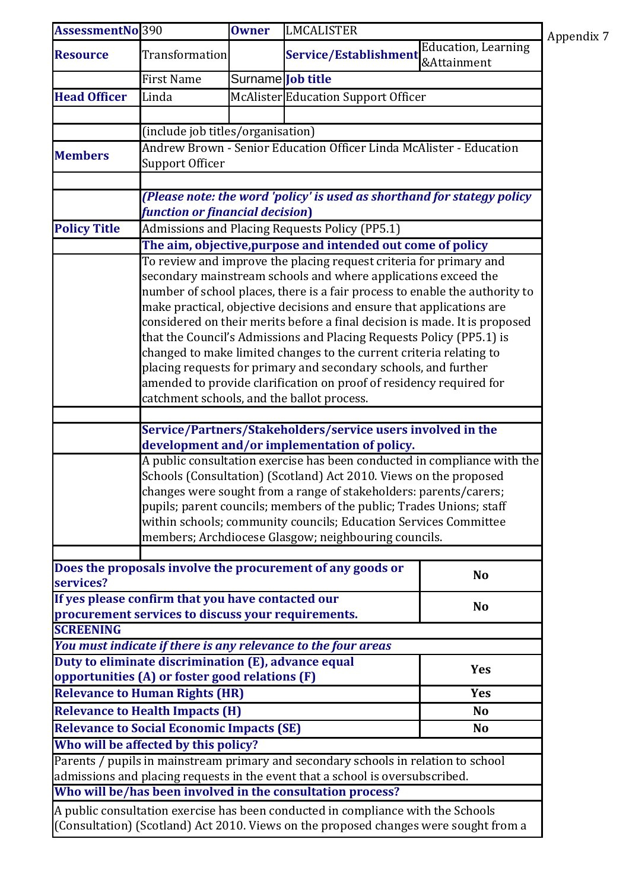| <b>AssessmentNo</b> 390                                       |                                                                                                                                        | <b>Owner</b>      | LMCALISTER                                                                           |                                           | Appendix 7 |  |  |
|---------------------------------------------------------------|----------------------------------------------------------------------------------------------------------------------------------------|-------------------|--------------------------------------------------------------------------------------|-------------------------------------------|------------|--|--|
| <b>Resource</b>                                               | <b>Transformation</b>                                                                                                                  |                   | Service/Establishment                                                                | <b>Education, Learning</b><br>&Attainment |            |  |  |
|                                                               | <b>First Name</b>                                                                                                                      | Surname Job title |                                                                                      |                                           |            |  |  |
| <b>Head Officer</b>                                           | Linda                                                                                                                                  |                   | McAlister Education Support Officer                                                  |                                           |            |  |  |
|                                                               |                                                                                                                                        |                   |                                                                                      |                                           |            |  |  |
|                                                               | (include job titles/organisation)                                                                                                      |                   |                                                                                      |                                           |            |  |  |
| <b>Members</b>                                                | Andrew Brown - Senior Education Officer Linda McAlister - Education                                                                    |                   |                                                                                      |                                           |            |  |  |
|                                                               | <b>Support Officer</b>                                                                                                                 |                   |                                                                                      |                                           |            |  |  |
|                                                               |                                                                                                                                        |                   |                                                                                      |                                           |            |  |  |
|                                                               | (Please note: the word 'policy' is used as shorthand for stategy policy                                                                |                   |                                                                                      |                                           |            |  |  |
|                                                               | function or financial decision)                                                                                                        |                   |                                                                                      |                                           |            |  |  |
| <b>Policy Title</b>                                           |                                                                                                                                        |                   | Admissions and Placing Requests Policy (PP5.1)                                       |                                           |            |  |  |
|                                                               | The aim, objective, purpose and intended out come of policy                                                                            |                   |                                                                                      |                                           |            |  |  |
|                                                               | To review and improve the placing request criteria for primary and<br>secondary mainstream schools and where applications exceed the   |                   |                                                                                      |                                           |            |  |  |
|                                                               |                                                                                                                                        |                   | number of school places, there is a fair process to enable the authority to          |                                           |            |  |  |
|                                                               |                                                                                                                                        |                   | make practical, objective decisions and ensure that applications are                 |                                           |            |  |  |
|                                                               |                                                                                                                                        |                   | considered on their merits before a final decision is made. It is proposed           |                                           |            |  |  |
|                                                               |                                                                                                                                        |                   | that the Council's Admissions and Placing Requests Policy (PP5.1) is                 |                                           |            |  |  |
|                                                               |                                                                                                                                        |                   | changed to make limited changes to the current criteria relating to                  |                                           |            |  |  |
|                                                               | placing requests for primary and secondary schools, and further                                                                        |                   |                                                                                      |                                           |            |  |  |
|                                                               | amended to provide clarification on proof of residency required for                                                                    |                   |                                                                                      |                                           |            |  |  |
|                                                               | catchment schools, and the ballot process.                                                                                             |                   |                                                                                      |                                           |            |  |  |
|                                                               |                                                                                                                                        |                   |                                                                                      |                                           |            |  |  |
|                                                               | Service/Partners/Stakeholders/service users involved in the                                                                            |                   |                                                                                      |                                           |            |  |  |
|                                                               | development and/or implementation of policy.                                                                                           |                   |                                                                                      |                                           |            |  |  |
|                                                               | A public consultation exercise has been conducted in compliance with the                                                               |                   |                                                                                      |                                           |            |  |  |
|                                                               | Schools (Consultation) (Scotland) Act 2010. Views on the proposed<br>changes were sought from a range of stakeholders: parents/carers; |                   |                                                                                      |                                           |            |  |  |
|                                                               | pupils; parent councils; members of the public; Trades Unions; staff                                                                   |                   |                                                                                      |                                           |            |  |  |
|                                                               | within schools; community councils; Education Services Committee                                                                       |                   |                                                                                      |                                           |            |  |  |
|                                                               | members; Archdiocese Glasgow; neighbouring councils.                                                                                   |                   |                                                                                      |                                           |            |  |  |
|                                                               |                                                                                                                                        |                   |                                                                                      |                                           |            |  |  |
|                                                               |                                                                                                                                        |                   | Does the proposals involve the procurement of any goods or                           | <b>No</b>                                 |            |  |  |
| services?                                                     |                                                                                                                                        |                   |                                                                                      |                                           |            |  |  |
|                                                               | If yes please confirm that you have contacted our                                                                                      |                   |                                                                                      | <b>No</b>                                 |            |  |  |
| <b>SCREENING</b>                                              | procurement services to discuss your requirements.                                                                                     |                   |                                                                                      |                                           |            |  |  |
|                                                               |                                                                                                                                        |                   | You must indicate if there is any relevance to the four areas                        |                                           |            |  |  |
|                                                               | Duty to eliminate discrimination (E), advance equal                                                                                    |                   |                                                                                      |                                           |            |  |  |
|                                                               | opportunities (A) or foster good relations (F)                                                                                         |                   |                                                                                      | <b>Yes</b>                                |            |  |  |
|                                                               | <b>Relevance to Human Rights (HR)</b>                                                                                                  |                   |                                                                                      | <b>Yes</b>                                |            |  |  |
| <b>Relevance to Health Impacts (H)</b><br><b>No</b>           |                                                                                                                                        |                   |                                                                                      |                                           |            |  |  |
| <b>Relevance to Social Economic Impacts (SE)</b><br><b>No</b> |                                                                                                                                        |                   |                                                                                      |                                           |            |  |  |
|                                                               | Who will be affected by this policy?                                                                                                   |                   |                                                                                      |                                           |            |  |  |
|                                                               |                                                                                                                                        |                   | Parents / pupils in mainstream primary and secondary schools in relation to school   |                                           |            |  |  |
|                                                               |                                                                                                                                        |                   | admissions and placing requests in the event that a school is oversubscribed.        |                                           |            |  |  |
|                                                               |                                                                                                                                        |                   | Who will be/has been involved in the consultation process?                           |                                           |            |  |  |
|                                                               |                                                                                                                                        |                   | A public consultation exercise has been conducted in compliance with the Schools     |                                           |            |  |  |
|                                                               |                                                                                                                                        |                   | (Consultation) (Scotland) Act 2010. Views on the proposed changes were sought from a |                                           |            |  |  |
|                                                               |                                                                                                                                        |                   |                                                                                      |                                           |            |  |  |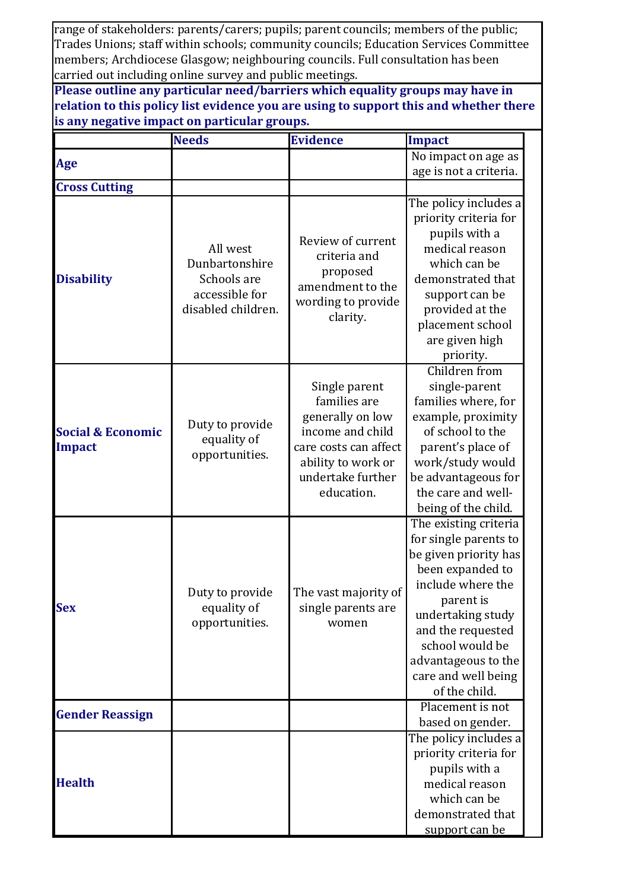range of stakeholders: parents/carers; pupils; parent councils; members of the public; Trades Unions; staff within schools; community councils; Education Services Committee members; Archdiocese Glasgow; neighbouring councils. Full consultation has been carried out including online survey and public meetings.

**Please outline any particular need/barriers which equality groups may have in relation to this policy list evidence you are using to support this and whether there is any negative impact on particular groups.**

|                                        | <b>Needs</b>                                                                      | <b>Evidence</b>                                                                                                                                         | Impact                                                                                                                                                                                                                                                    |
|----------------------------------------|-----------------------------------------------------------------------------------|---------------------------------------------------------------------------------------------------------------------------------------------------------|-----------------------------------------------------------------------------------------------------------------------------------------------------------------------------------------------------------------------------------------------------------|
| Age                                    |                                                                                   |                                                                                                                                                         | No impact on age as                                                                                                                                                                                                                                       |
|                                        |                                                                                   |                                                                                                                                                         | age is not a criteria.                                                                                                                                                                                                                                    |
| <b>Cross Cutting</b>                   |                                                                                   |                                                                                                                                                         |                                                                                                                                                                                                                                                           |
| <b>Disability</b>                      | All west<br>Dunbartonshire<br>Schools are<br>accessible for<br>disabled children. | Review of current<br>criteria and<br>proposed<br>amendment to the<br>wording to provide<br>clarity.                                                     | The policy includes a<br>priority criteria for<br>pupils with a<br>medical reason<br>which can be<br>demonstrated that<br>support can be<br>provided at the<br>placement school<br>are given high<br>priority.                                            |
| <b>Social &amp; Economic</b><br>Impact | Duty to provide<br>equality of<br>opportunities.                                  | Single parent<br>families are<br>generally on low<br>income and child<br>care costs can affect<br>ability to work or<br>undertake further<br>education. | Children from<br>single-parent<br>families where, for<br>example, proximity<br>of school to the<br>parent's place of<br>work/study would<br>be advantageous for<br>the care and well-<br>being of the child.                                              |
| <b>Sex</b>                             | Duty to provide<br>equality of<br>opportunities.                                  | The vast majority of<br>single parents are<br>women                                                                                                     | The existing criteria<br>for single parents to<br>be given priority has<br>been expanded to<br>include where the<br>parent is<br>undertaking study<br>and the requested<br>school would be<br>advantageous to the<br>care and well being<br>of the child. |
| <b>Gender Reassign</b>                 |                                                                                   |                                                                                                                                                         | Placement is not<br>based on gender.                                                                                                                                                                                                                      |
| <b>Health</b>                          |                                                                                   |                                                                                                                                                         | The policy includes a<br>priority criteria for<br>pupils with a<br>medical reason<br>which can be<br>demonstrated that<br>support can be                                                                                                                  |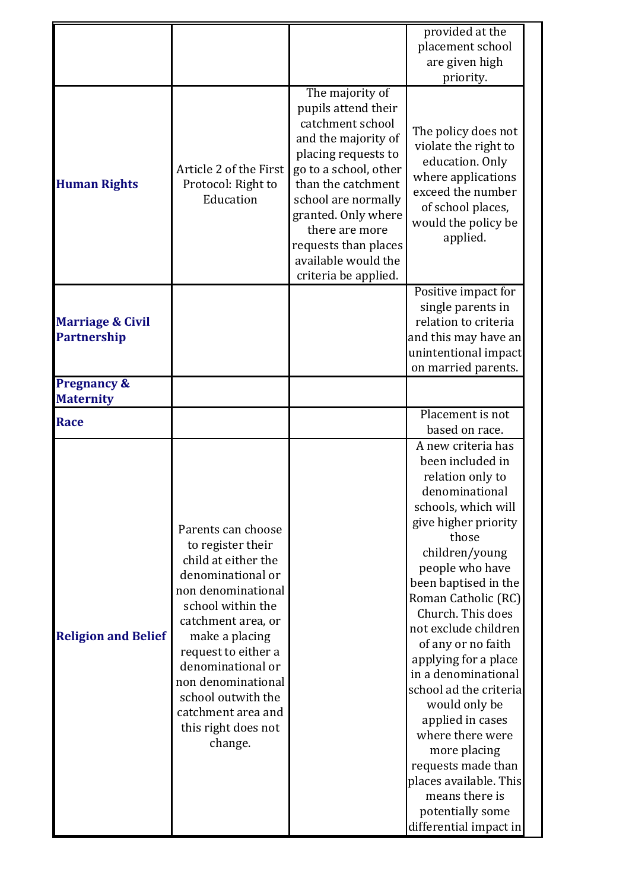|                                            |                                                                                                                                                                                                                                                                                                                        |                                                                                                                                                                                                                                                                                                | provided at the<br>placement school<br>are given high<br>priority.                                                                                                                                                                                                                                                                                                                                                                                                                                                                                            |
|--------------------------------------------|------------------------------------------------------------------------------------------------------------------------------------------------------------------------------------------------------------------------------------------------------------------------------------------------------------------------|------------------------------------------------------------------------------------------------------------------------------------------------------------------------------------------------------------------------------------------------------------------------------------------------|---------------------------------------------------------------------------------------------------------------------------------------------------------------------------------------------------------------------------------------------------------------------------------------------------------------------------------------------------------------------------------------------------------------------------------------------------------------------------------------------------------------------------------------------------------------|
| <b>Human Rights</b>                        | Article 2 of the First<br>Protocol: Right to<br>Education                                                                                                                                                                                                                                                              | The majority of<br>pupils attend their<br>catchment school<br>and the majority of<br>placing requests to<br>go to a school, other<br>than the catchment<br>school are normally<br>granted. Only where<br>there are more<br>requests than places<br>available would the<br>criteria be applied. | The policy does not<br>violate the right to<br>education. Only<br>where applications<br>exceed the number<br>of school places,<br>would the policy be<br>applied.                                                                                                                                                                                                                                                                                                                                                                                             |
| <b>Marriage &amp; Civil</b><br>Partnership |                                                                                                                                                                                                                                                                                                                        |                                                                                                                                                                                                                                                                                                | Positive impact for<br>single parents in<br>relation to criteria<br>and this may have an<br>unintentional impact<br>on married parents.                                                                                                                                                                                                                                                                                                                                                                                                                       |
| <b>Pregnancy &amp;</b><br><b>Maternity</b> |                                                                                                                                                                                                                                                                                                                        |                                                                                                                                                                                                                                                                                                |                                                                                                                                                                                                                                                                                                                                                                                                                                                                                                                                                               |
| Race                                       |                                                                                                                                                                                                                                                                                                                        |                                                                                                                                                                                                                                                                                                | Placement is not<br>based on race.                                                                                                                                                                                                                                                                                                                                                                                                                                                                                                                            |
| <b>Religion and Belief</b>                 | Parents can choose<br>to register their<br>child at either the<br>denominational or<br>non denominational<br>school within the<br>catchment area, or<br>make a placing<br>request to either a<br>denominational or<br>non denominational<br>school outwith the<br>catchment area and<br>this right does not<br>change. |                                                                                                                                                                                                                                                                                                | A new criteria has<br>been included in<br>relation only to<br>denominational<br>schools, which will<br>give higher priority<br>those<br>children/young<br>people who have<br>been baptised in the<br>Roman Catholic (RC)<br>Church. This does<br>not exclude children<br>of any or no faith<br>applying for a place<br>in a denominational<br>school ad the criteria<br>would only be<br>applied in cases<br>where there were<br>more placing<br>requests made than<br>places available. This<br>means there is<br>potentially some<br>differential impact in |